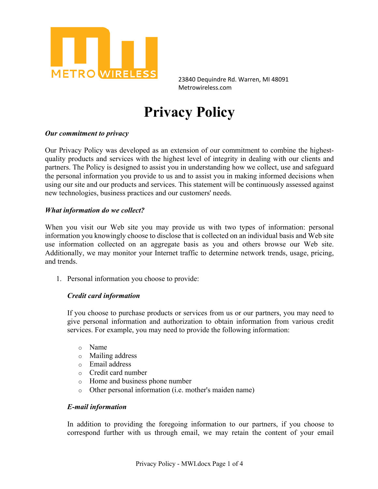

23840 Dequindre Rd. Warren, MI 48091 Metrowireless.com

# **Privacy Policy**

#### *Our commitment to privacy*

Our Privacy Policy was developed as an extension of our commitment to combine the highestquality products and services with the highest level of integrity in dealing with our clients and partners. The Policy is designed to assist you in understanding how we collect, use and safeguard the personal information you provide to us and to assist you in making informed decisions when using our site and our products and services. This statement will be continuously assessed against new technologies, business practices and our customers' needs.

#### *What information do we collect?*

When you visit our Web site you may provide us with two types of information: personal information you knowingly choose to disclose that is collected on an individual basis and Web site use information collected on an aggregate basis as you and others browse our Web site. Additionally, we may monitor your Internet traffic to determine network trends, usage, pricing, and trends.

1. Personal information you choose to provide:

## *Credit card information*

If you choose to purchase products or services from us or our partners, you may need to give personal information and authorization to obtain information from various credit services. For example, you may need to provide the following information:

- o Name
- o Mailing address
- o Email address
- o Credit card number
- o Home and business phone number
- o Other personal information (i.e. mother's maiden name)

#### *E-mail information*

In addition to providing the foregoing information to our partners, if you choose to correspond further with us through email, we may retain the content of your email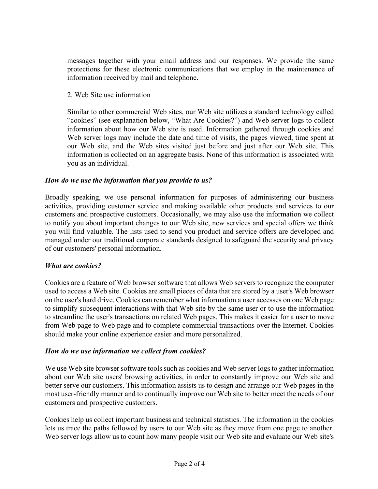messages together with your email address and our responses. We provide the same protections for these electronic communications that we employ in the maintenance of information received by mail and telephone.

2. Web Site use information

Similar to other commercial Web sites, our Web site utilizes a standard technology called "cookies" (see explanation below, "What Are Cookies?") and Web server logs to collect information about how our Web site is used. Information gathered through cookies and Web server logs may include the date and time of visits, the pages viewed, time spent at our Web site, and the Web sites visited just before and just after our Web site. This information is collected on an aggregate basis. None of this information is associated with you as an individual.

## *How do we use the information that you provide to us?*

Broadly speaking, we use personal information for purposes of administering our business activities, providing customer service and making available other products and services to our customers and prospective customers. Occasionally, we may also use the information we collect to notify you about important changes to our Web site, new services and special offers we think you will find valuable. The lists used to send you product and service offers are developed and managed under our traditional corporate standards designed to safeguard the security and privacy of our customers' personal information.

## *What are cookies?*

Cookies are a feature of Web browser software that allows Web servers to recognize the computer used to access a Web site. Cookies are small pieces of data that are stored by a user's Web browser on the user's hard drive. Cookies can remember what information a user accesses on one Web page to simplify subsequent interactions with that Web site by the same user or to use the information to streamline the user's transactions on related Web pages. This makes it easier for a user to move from Web page to Web page and to complete commercial transactions over the Internet. Cookies should make your online experience easier and more personalized.

## *How do we use information we collect from cookies?*

We use Web site browser software tools such as cookies and Web server logs to gather information about our Web site users' browsing activities, in order to constantly improve our Web site and better serve our customers. This information assists us to design and arrange our Web pages in the most user-friendly manner and to continually improve our Web site to better meet the needs of our customers and prospective customers.

Cookies help us collect important business and technical statistics. The information in the cookies lets us trace the paths followed by users to our Web site as they move from one page to another. Web server logs allow us to count how many people visit our Web site and evaluate our Web site's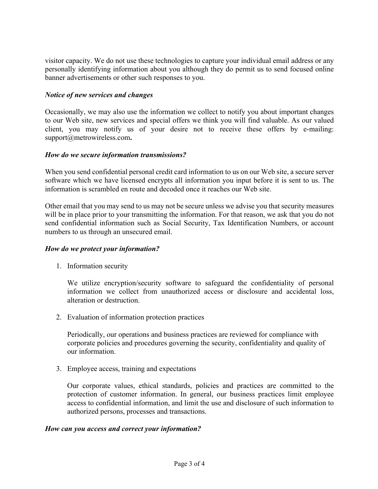visitor capacity. We do not use these technologies to capture your individual email address or any personally identifying information about you although they do permit us to send focused online banner advertisements or other such responses to you.

### *Notice of new services and changes*

Occasionally, we may also use the information we collect to notify you about important changes to our Web site, new services and special offers we think you will find valuable. As our valued client, you may notify us of your desire not to receive these offers by e-mailing: support@metrowireless.com**.**

#### *How do we secure information transmissions?*

When you send confidential personal credit card information to us on our Web site, a secure server software which we have licensed encrypts all information you input before it is sent to us. The information is scrambled en route and decoded once it reaches our Web site.

Other email that you may send to us may not be secure unless we advise you that security measures will be in place prior to your transmitting the information. For that reason, we ask that you do not send confidential information such as Social Security, Tax Identification Numbers, or account numbers to us through an unsecured email.

#### *How do we protect your information?*

1. Information security

We utilize encryption/security software to safeguard the confidentiality of personal information we collect from unauthorized access or disclosure and accidental loss, alteration or destruction.

2. Evaluation of information protection practices

Periodically, our operations and business practices are reviewed for compliance with corporate policies and procedures governing the security, confidentiality and quality of our information.

3. Employee access, training and expectations

Our corporate values, ethical standards, policies and practices are committed to the protection of customer information. In general, our business practices limit employee access to confidential information, and limit the use and disclosure of such information to authorized persons, processes and transactions.

#### *How can you access and correct your information?*